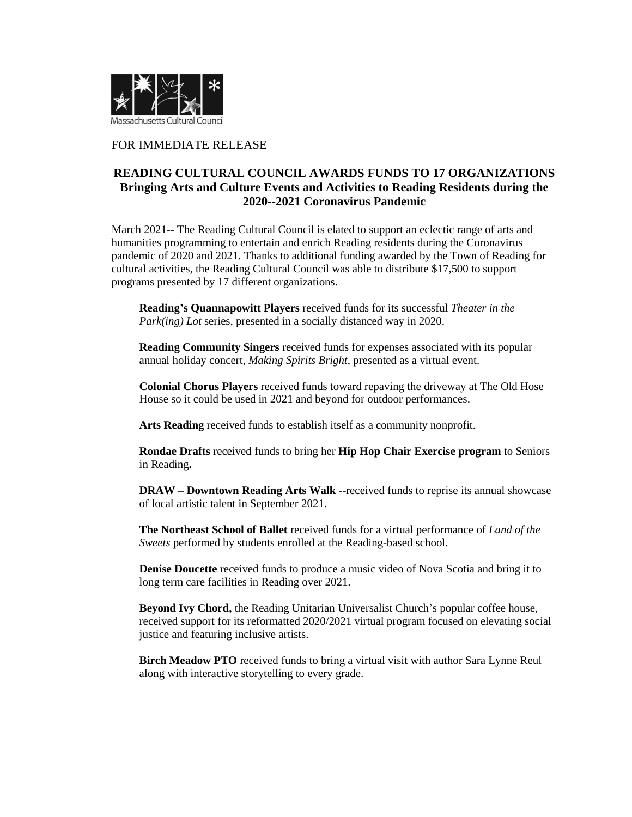

## FOR IMMEDIATE RELEASE

## **READING CULTURAL COUNCIL AWARDS FUNDS TO 17 ORGANIZATIONS Bringing Arts and Culture Events and Activities to Reading Residents during the 2020--2021 Coronavirus Pandemic**

March 2021-- The Reading Cultural Council is elated to support an eclectic range of arts and humanities programming to entertain and enrich Reading residents during the Coronavirus pandemic of 2020 and 2021. Thanks to additional funding awarded by the Town of Reading for cultural activities, the Reading Cultural Council was able to distribute \$17,500 to support programs presented by 17 different organizations.

**Reading's Quannapowitt Players** received funds for its successful *Theater in the Park(ing) Lot* series, presented in a socially distanced way in 2020.

**Reading Community Singers** received funds for expenses associated with its popular annual holiday concert, *Making Spirits Bright*, presented as a virtual event.

**Colonial Chorus Players** received funds toward repaving the driveway at The Old Hose House so it could be used in 2021 and beyond for outdoor performances.

**Arts Reading** received funds to establish itself as a community nonprofit.

**Rondae Drafts** received funds to bring her **Hip Hop Chair Exercise program** to Seniors in Reading**.** 

**DRAW – Downtown Reading Arts Walk** --received funds to reprise its annual showcase of local artistic talent in September 2021.

**The Northeast School of Ballet** received funds for a virtual performance of *Land of the Sweets* performed by students enrolled at the Reading-based school.

**Denise Doucette** received funds to produce a music video of Nova Scotia and bring it to long term care facilities in Reading over 2021.

**Beyond Ivy Chord,** the Reading Unitarian Universalist Church's popular coffee house, received support for its reformatted 2020/2021 virtual program focused on elevating social justice and featuring inclusive artists.

**Birch Meadow PTO** received funds to bring a virtual visit with author Sara Lynne Reul along with interactive storytelling to every grade.